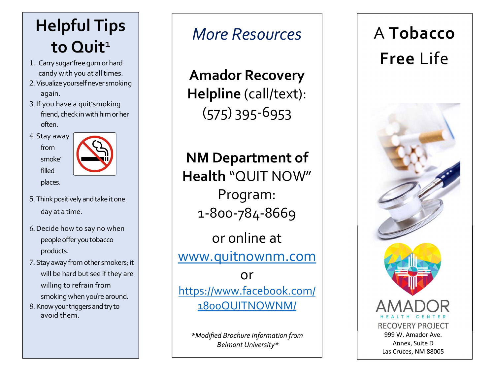## Helpful Tips to Quit<sup>1</sup>

- 1. Carry sugar -free gum or hard candy with you at all times.
- 2.Visualize yourself never smoking again.
- 3. If you have a quit smoking state of the S. friend, check in with him or her often.
- 4. Stay away from smoke filled



- places.
- 5. Think positively and take it one day at a time.
- 6.Decide how to say no when people offer you tobacco products.
- 7. Stay away from other smokers; it will be hard but see if they are willing to refrain from

smoking when you're around.

8. Know your triggers and try to avoid them.

## More Resources

Amador Recovery Helpline (call/text): (575) 395-6953

NM Department of Health "QUIT NOW" Program: 1-800-784-8669

or online at www.quitnownm.com

or https://www.facebook.com/ 1800QUITNOWNM/

\*Modified Brochure Information from Belmont University\*

# A Tobacco Free Life